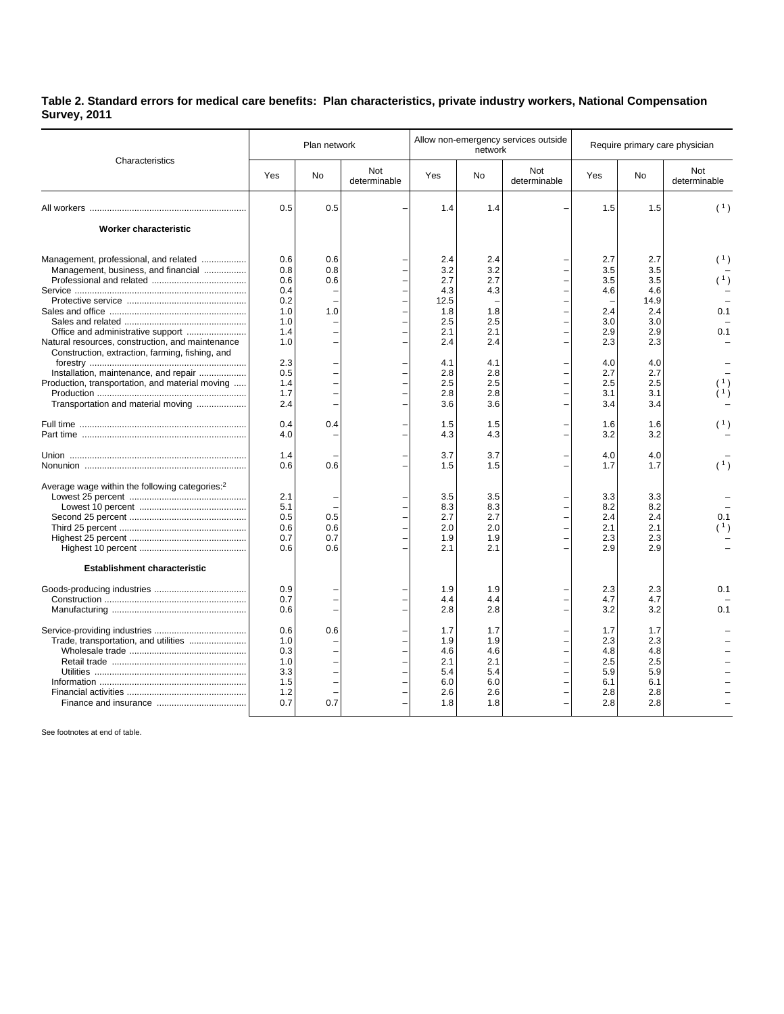## **Table 2. Standard errors for medical care benefits: Plan characteristics, private industry workers, National Compensation Survey, 2011**

| Characteristics                                                                                                                                                                                                                                                                 | Plan network                                                                            |                          |                     | Allow non-emergency services outside<br>network                                          |                                                                                  |                     | Require primary care physician                                                   |                                                                                          |                          |
|---------------------------------------------------------------------------------------------------------------------------------------------------------------------------------------------------------------------------------------------------------------------------------|-----------------------------------------------------------------------------------------|--------------------------|---------------------|------------------------------------------------------------------------------------------|----------------------------------------------------------------------------------|---------------------|----------------------------------------------------------------------------------|------------------------------------------------------------------------------------------|--------------------------|
|                                                                                                                                                                                                                                                                                 | Yes                                                                                     | <b>No</b>                | Not<br>determinable | Yes                                                                                      | <b>No</b>                                                                        | Not<br>determinable | Yes                                                                              | <b>No</b>                                                                                | Not<br>determinable      |
|                                                                                                                                                                                                                                                                                 | 0.5                                                                                     | 0.5                      |                     | 1.4                                                                                      | 1.4                                                                              |                     | 1.5                                                                              | 1.5                                                                                      | (1)                      |
| Worker characteristic                                                                                                                                                                                                                                                           |                                                                                         |                          |                     |                                                                                          |                                                                                  |                     |                                                                                  |                                                                                          |                          |
| Management, professional, and related<br>Management, business, and financial<br>Natural resources, construction, and maintenance<br>Construction, extraction, farming, fishing, and<br>Installation, maintenance, and repair<br>Production, transportation, and material moving | 0.6<br>0.8<br>0.6<br>0.4<br>0.2<br>1.0<br>1.0<br>1.4<br>1.0<br>2.3<br>0.5<br>1.4<br>1.7 | 0.6<br>0.8<br>0.6<br>1.0 |                     | 2.4<br>3.2<br>2.7<br>4.3<br>12.5<br>1.8<br>2.5<br>2.1<br>2.4<br>4.1<br>2.8<br>2.5<br>2.8 | 2.4<br>3.2<br>2.7<br>4.3<br>1.8<br>2.5<br>2.1<br>2.4<br>4.1<br>2.8<br>2.5<br>2.8 |                     | 2.7<br>3.5<br>3.5<br>4.6<br>2.4<br>3.0<br>2.9<br>2.3<br>4.0<br>2.7<br>2.5<br>3.1 | 2.7<br>3.5<br>3.5<br>4.6<br>14.9<br>2.4<br>3.0<br>2.9<br>2.3<br>4.0<br>2.7<br>2.5<br>3.1 | (1)<br>(1)<br>0.1<br>0.1 |
| Transportation and material moving                                                                                                                                                                                                                                              | 2.4<br>0.4                                                                              | 0.4                      |                     | 3.6<br>1.5                                                                               | 3.6<br>1.5                                                                       |                     | 3.4<br>1.6                                                                       | 3.4<br>1.6                                                                               |                          |
|                                                                                                                                                                                                                                                                                 | 4.0<br>1.4<br>0.6                                                                       | 0.6                      |                     | 4.3<br>3.7<br>1.5                                                                        | 4.3<br>3.7<br>1.5                                                                |                     | 3.2<br>4.0<br>1.7                                                                | 3.2<br>4.0<br>1.7                                                                        | (1)                      |
| Average wage within the following categories: <sup>2</sup>                                                                                                                                                                                                                      | 2.1<br>5.1<br>0.5<br>0.6<br>0.7<br>0.6                                                  | 0.5<br>0.6<br>0.7<br>0.6 |                     | 3.5<br>8.3<br>2.7<br>2.0<br>1.9<br>2.1                                                   | 3.5<br>8.3<br>2.7<br>2.0<br>1.9<br>2.1                                           |                     | 3.3<br>8.2<br>2.4<br>2.1<br>2.3<br>2.9                                           | 3.3<br>8.2<br>2.4<br>2.1<br>2.3<br>2.9                                                   | 0.1<br>(1)               |
| <b>Establishment characteristic</b>                                                                                                                                                                                                                                             | 0.9<br>0.7<br>0.6                                                                       |                          |                     | 1.9<br>4.4<br>2.8                                                                        | 1.9<br>4.4<br>2.8                                                                |                     | 2.3<br>4.7<br>3.2                                                                | 2.3<br>4.7<br>3.2                                                                        | 0.1<br>0.1               |
| Trade, transportation, and utilities                                                                                                                                                                                                                                            | 0.6<br>1.0<br>0.3<br>1.0<br>3.3<br>1.5<br>1.2<br>0.7                                    | 0.6<br>0.7               |                     | 1.7<br>1.9<br>4.6<br>2.1<br>5.4<br>6.0<br>2.6<br>1.8                                     | 1.7<br>1.9<br>4.6<br>2.1<br>5.4<br>6.0<br>2.6<br>1.8                             |                     | 1.7<br>2.3<br>4.8<br>2.5<br>5.9<br>6.1<br>2.8<br>2.8                             | 1.7<br>2.3<br>4.8<br>2.5<br>5.9<br>6.1<br>2.8<br>2.8                                     |                          |

See footnotes at end of table.